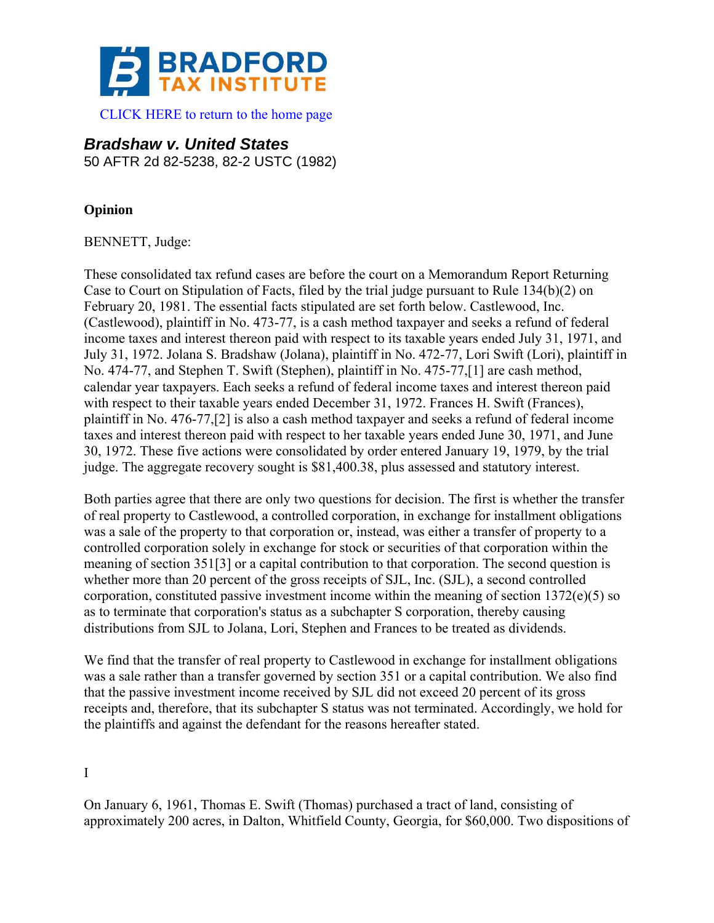

## *Bradshaw v. United States*  50 AFTR 2d 82-5238, 82-2 USTC (1982)

**Opinion** 

BENNETT, Judge:

These consolidated tax refund cases are before the court on a Memorandum Report Returning Case to Court on Stipulation of Facts, filed by the trial judge pursuant to Rule 134(b)(2) on February 20, 1981. The essential facts stipulated are set forth below. Castlewood, Inc. (Castlewood), plaintiff in No. 473-77, is a cash method taxpayer and seeks a refund of federal income taxes and interest thereon paid with respect to its taxable years ended July 31, 1971, and July 31, 1972. Jolana S. Bradshaw (Jolana), plaintiff in No. 472-77, Lori Swift (Lori), plaintiff in No. 474-77, and Stephen T. Swift (Stephen), plaintiff in No. 475-77,[1] are cash method, calendar year taxpayers. Each seeks a refund of federal income taxes and interest thereon paid with respect to their taxable years ended December 31, 1972. Frances H. Swift (Frances), plaintiff in No. 476-77,[2] is also a cash method taxpayer and seeks a refund of federal income taxes and interest thereon paid with respect to her taxable years ended June 30, 1971, and June 30, 1972. These five actions were consolidated by order entered January 19, 1979, by the trial judge. The aggregate recovery sought is \$81,400.38, plus assessed and statutory interest.

Both parties agree that there are only two questions for decision. The first is whether the transfer of real property to Castlewood, a controlled corporation, in exchange for installment obligations was a sale of the property to that corporation or, instead, was either a transfer of property to a controlled corporation solely in exchange for stock or securities of that corporation within the meaning of section 351[3] or a capital contribution to that corporation. The second question is whether more than 20 percent of the gross receipts of SJL, Inc. (SJL), a second controlled corporation, constituted passive investment income within the meaning of section 1372(e)(5) so as to terminate that corporation's status as a subchapter S corporation, thereby causing distributions from SJL to Jolana, Lori, Stephen and Frances to be treated as dividends.

We find that the transfer of real property to Castlewood in exchange for installment obligations was a sale rather than a transfer governed by section 351 or a capital contribution. We also find that the passive investment income received by SJL did not exceed 20 percent of its gross receipts and, therefore, that its subchapter S status was not terminated. Accordingly, we hold for the plaintiffs and against the defendant for the reasons hereafter stated.

I

On January 6, 1961, Thomas E. Swift (Thomas) purchased a tract of land, consisting of approximately 200 acres, in Dalton, Whitfield County, Georgia, for \$60,000. Two dispositions of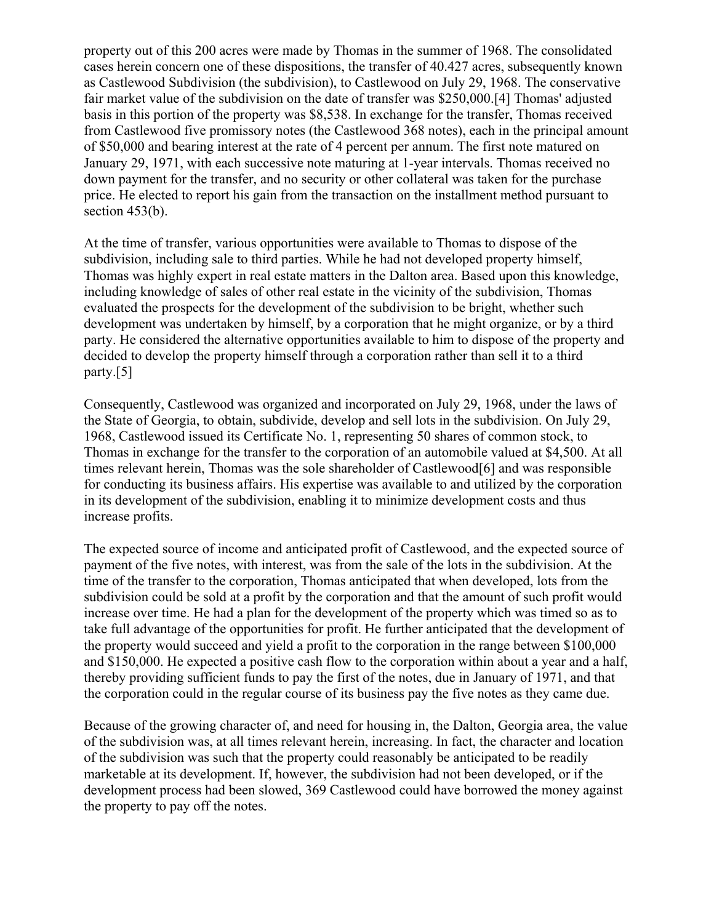property out of this 200 acres were made by Thomas in the summer of 1968. The consolidated cases herein concern one of these dispositions, the transfer of 40.427 acres, subsequently known as Castlewood Subdivision (the subdivision), to Castlewood on July 29, 1968. The conservative fair market value of the subdivision on the date of transfer was \$250,000.[4] Thomas' adjusted basis in this portion of the property was \$8,538. In exchange for the transfer, Thomas received from Castlewood five promissory notes (the Castlewood 368 notes), each in the principal amount of \$50,000 and bearing interest at the rate of 4 percent per annum. The first note matured on January 29, 1971, with each successive note maturing at 1-year intervals. Thomas received no down payment for the transfer, and no security or other collateral was taken for the purchase price. He elected to report his gain from the transaction on the installment method pursuant to section 453(b).

At the time of transfer, various opportunities were available to Thomas to dispose of the subdivision, including sale to third parties. While he had not developed property himself, Thomas was highly expert in real estate matters in the Dalton area. Based upon this knowledge, including knowledge of sales of other real estate in the vicinity of the subdivision, Thomas evaluated the prospects for the development of the subdivision to be bright, whether such development was undertaken by himself, by a corporation that he might organize, or by a third party. He considered the alternative opportunities available to him to dispose of the property and decided to develop the property himself through a corporation rather than sell it to a third party.[5]

Consequently, Castlewood was organized and incorporated on July 29, 1968, under the laws of the State of Georgia, to obtain, subdivide, develop and sell lots in the subdivision. On July 29, 1968, Castlewood issued its Certificate No. 1, representing 50 shares of common stock, to Thomas in exchange for the transfer to the corporation of an automobile valued at \$4,500. At all times relevant herein, Thomas was the sole shareholder of Castlewood[6] and was responsible for conducting its business affairs. His expertise was available to and utilized by the corporation in its development of the subdivision, enabling it to minimize development costs and thus increase profits.

The expected source of income and anticipated profit of Castlewood, and the expected source of payment of the five notes, with interest, was from the sale of the lots in the subdivision. At the time of the transfer to the corporation, Thomas anticipated that when developed, lots from the subdivision could be sold at a profit by the corporation and that the amount of such profit would increase over time. He had a plan for the development of the property which was timed so as to take full advantage of the opportunities for profit. He further anticipated that the development of the property would succeed and yield a profit to the corporation in the range between \$100,000 and \$150,000. He expected a positive cash flow to the corporation within about a year and a half, thereby providing sufficient funds to pay the first of the notes, due in January of 1971, and that the corporation could in the regular course of its business pay the five notes as they came due.

Because of the growing character of, and need for housing in, the Dalton, Georgia area, the value of the subdivision was, at all times relevant herein, increasing. In fact, the character and location of the subdivision was such that the property could reasonably be anticipated to be readily marketable at its development. If, however, the subdivision had not been developed, or if the development process had been slowed, 369 Castlewood could have borrowed the money against the property to pay off the notes.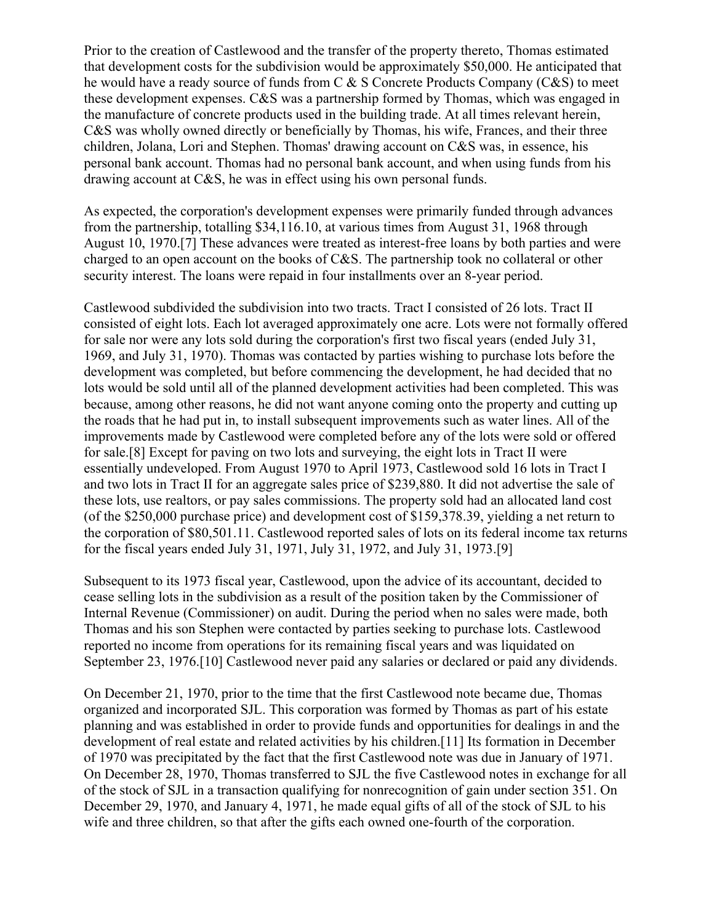Prior to the creation of Castlewood and the transfer of the property thereto, Thomas estimated that development costs for the subdivision would be approximately \$50,000. He anticipated that he would have a ready source of funds from C & S Concrete Products Company (C&S) to meet these development expenses. C&S was a partnership formed by Thomas, which was engaged in the manufacture of concrete products used in the building trade. At all times relevant herein, C&S was wholly owned directly or beneficially by Thomas, his wife, Frances, and their three children, Jolana, Lori and Stephen. Thomas' drawing account on C&S was, in essence, his personal bank account. Thomas had no personal bank account, and when using funds from his drawing account at C&S, he was in effect using his own personal funds.

As expected, the corporation's development expenses were primarily funded through advances from the partnership, totalling \$34,116.10, at various times from August 31, 1968 through August 10, 1970.[7] These advances were treated as interest-free loans by both parties and were charged to an open account on the books of C&S. The partnership took no collateral or other security interest. The loans were repaid in four installments over an 8-year period.

Castlewood subdivided the subdivision into two tracts. Tract I consisted of 26 lots. Tract II consisted of eight lots. Each lot averaged approximately one acre. Lots were not formally offered for sale nor were any lots sold during the corporation's first two fiscal years (ended July 31, 1969, and July 31, 1970). Thomas was contacted by parties wishing to purchase lots before the development was completed, but before commencing the development, he had decided that no lots would be sold until all of the planned development activities had been completed. This was because, among other reasons, he did not want anyone coming onto the property and cutting up the roads that he had put in, to install subsequent improvements such as water lines. All of the improvements made by Castlewood were completed before any of the lots were sold or offered for sale.[8] Except for paving on two lots and surveying, the eight lots in Tract II were essentially undeveloped. From August 1970 to April 1973, Castlewood sold 16 lots in Tract I and two lots in Tract II for an aggregate sales price of \$239,880. It did not advertise the sale of these lots, use realtors, or pay sales commissions. The property sold had an allocated land cost (of the \$250,000 purchase price) and development cost of \$159,378.39, yielding a net return to the corporation of \$80,501.11. Castlewood reported sales of lots on its federal income tax returns for the fiscal years ended July 31, 1971, July 31, 1972, and July 31, 1973.[9]

Subsequent to its 1973 fiscal year, Castlewood, upon the advice of its accountant, decided to cease selling lots in the subdivision as a result of the position taken by the Commissioner of Internal Revenue (Commissioner) on audit. During the period when no sales were made, both Thomas and his son Stephen were contacted by parties seeking to purchase lots. Castlewood reported no income from operations for its remaining fiscal years and was liquidated on September 23, 1976.[10] Castlewood never paid any salaries or declared or paid any dividends.

On December 21, 1970, prior to the time that the first Castlewood note became due, Thomas organized and incorporated SJL. This corporation was formed by Thomas as part of his estate planning and was established in order to provide funds and opportunities for dealings in and the development of real estate and related activities by his children.[11] Its formation in December of 1970 was precipitated by the fact that the first Castlewood note was due in January of 1971. On December 28, 1970, Thomas transferred to SJL the five Castlewood notes in exchange for all of the stock of SJL in a transaction qualifying for nonrecognition of gain under section 351. On December 29, 1970, and January 4, 1971, he made equal gifts of all of the stock of SJL to his wife and three children, so that after the gifts each owned one-fourth of the corporation.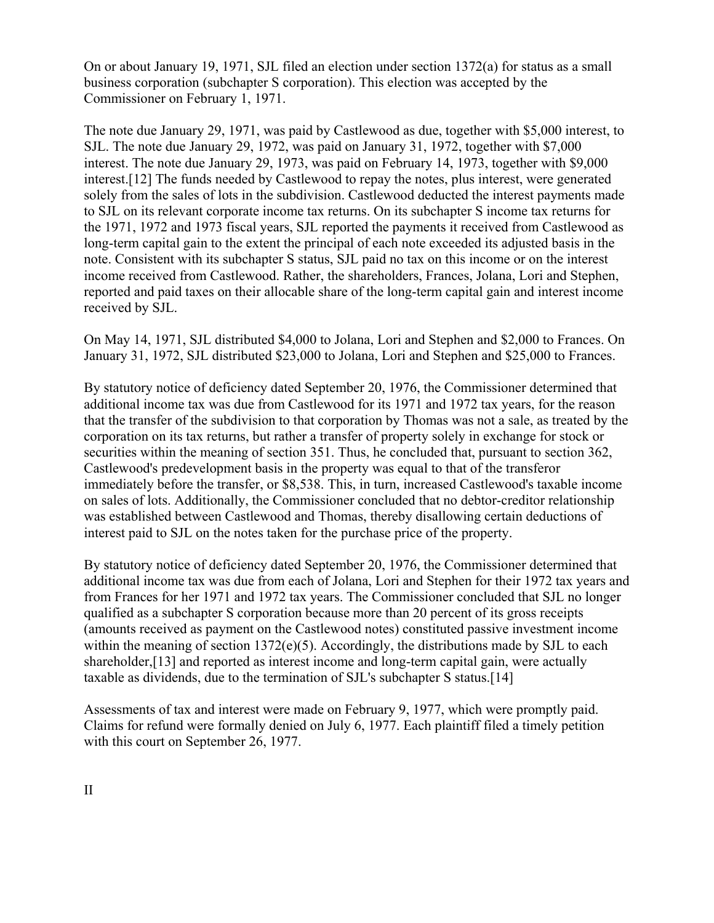On or about January 19, 1971, SJL filed an election under section 1372(a) for status as a small business corporation (subchapter S corporation). This election was accepted by the Commissioner on February 1, 1971.

The note due January 29, 1971, was paid by Castlewood as due, together with \$5,000 interest, to SJL. The note due January 29, 1972, was paid on January 31, 1972, together with \$7,000 interest. The note due January 29, 1973, was paid on February 14, 1973, together with \$9,000 interest.[12] The funds needed by Castlewood to repay the notes, plus interest, were generated solely from the sales of lots in the subdivision. Castlewood deducted the interest payments made to SJL on its relevant corporate income tax returns. On its subchapter S income tax returns for the 1971, 1972 and 1973 fiscal years, SJL reported the payments it received from Castlewood as long-term capital gain to the extent the principal of each note exceeded its adjusted basis in the note. Consistent with its subchapter S status, SJL paid no tax on this income or on the interest income received from Castlewood. Rather, the shareholders, Frances, Jolana, Lori and Stephen, reported and paid taxes on their allocable share of the long-term capital gain and interest income received by SJL.

On May 14, 1971, SJL distributed \$4,000 to Jolana, Lori and Stephen and \$2,000 to Frances. On January 31, 1972, SJL distributed \$23,000 to Jolana, Lori and Stephen and \$25,000 to Frances.

By statutory notice of deficiency dated September 20, 1976, the Commissioner determined that additional income tax was due from Castlewood for its 1971 and 1972 tax years, for the reason that the transfer of the subdivision to that corporation by Thomas was not a sale, as treated by the corporation on its tax returns, but rather a transfer of property solely in exchange for stock or securities within the meaning of section 351. Thus, he concluded that, pursuant to section 362, Castlewood's predevelopment basis in the property was equal to that of the transferor immediately before the transfer, or \$8,538. This, in turn, increased Castlewood's taxable income on sales of lots. Additionally, the Commissioner concluded that no debtor-creditor relationship was established between Castlewood and Thomas, thereby disallowing certain deductions of interest paid to SJL on the notes taken for the purchase price of the property.

By statutory notice of deficiency dated September 20, 1976, the Commissioner determined that additional income tax was due from each of Jolana, Lori and Stephen for their 1972 tax years and from Frances for her 1971 and 1972 tax years. The Commissioner concluded that SJL no longer qualified as a subchapter S corporation because more than 20 percent of its gross receipts (amounts received as payment on the Castlewood notes) constituted passive investment income within the meaning of section  $1372(e)(5)$ . Accordingly, the distributions made by SJL to each shareholder,[13] and reported as interest income and long-term capital gain, were actually taxable as dividends, due to the termination of SJL's subchapter S status.[14]

Assessments of tax and interest were made on February 9, 1977, which were promptly paid. Claims for refund were formally denied on July 6, 1977. Each plaintiff filed a timely petition with this court on September 26, 1977.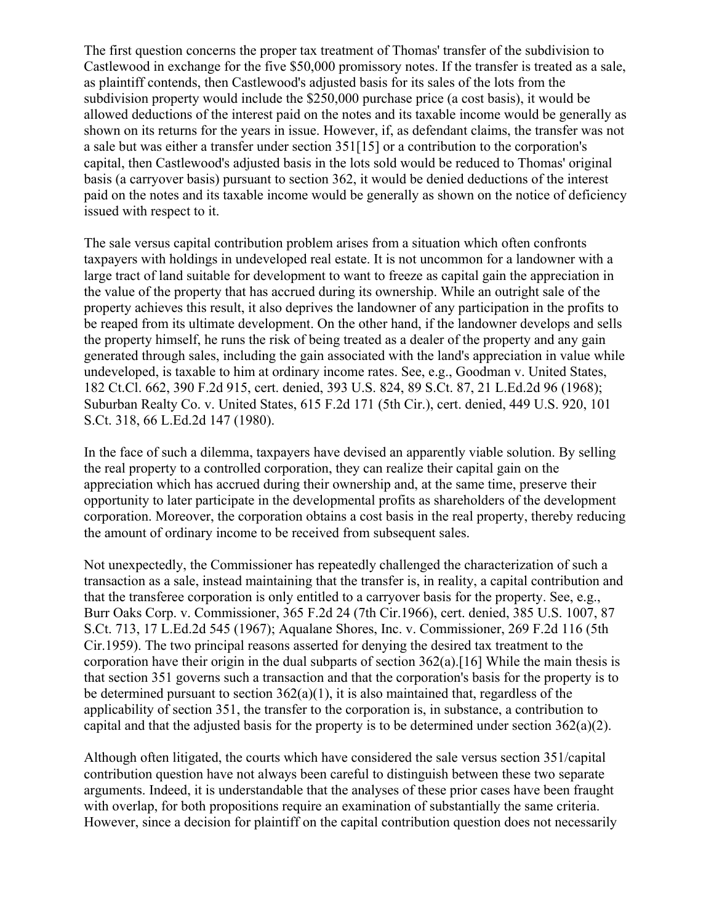The first question concerns the proper tax treatment of Thomas' transfer of the subdivision to Castlewood in exchange for the five \$50,000 promissory notes. If the transfer is treated as a sale, as plaintiff contends, then Castlewood's adjusted basis for its sales of the lots from the subdivision property would include the \$250,000 purchase price (a cost basis), it would be allowed deductions of the interest paid on the notes and its taxable income would be generally as shown on its returns for the years in issue. However, if, as defendant claims, the transfer was not a sale but was either a transfer under section 351[15] or a contribution to the corporation's capital, then Castlewood's adjusted basis in the lots sold would be reduced to Thomas' original basis (a carryover basis) pursuant to section 362, it would be denied deductions of the interest paid on the notes and its taxable income would be generally as shown on the notice of deficiency issued with respect to it.

The sale versus capital contribution problem arises from a situation which often confronts taxpayers with holdings in undeveloped real estate. It is not uncommon for a landowner with a large tract of land suitable for development to want to freeze as capital gain the appreciation in the value of the property that has accrued during its ownership. While an outright sale of the property achieves this result, it also deprives the landowner of any participation in the profits to be reaped from its ultimate development. On the other hand, if the landowner develops and sells the property himself, he runs the risk of being treated as a dealer of the property and any gain generated through sales, including the gain associated with the land's appreciation in value while undeveloped, is taxable to him at ordinary income rates. See, e.g., Goodman v. United States, 182 Ct.Cl. 662, 390 F.2d 915, cert. denied, 393 U.S. 824, 89 S.Ct. 87, 21 L.Ed.2d 96 (1968); Suburban Realty Co. v. United States, 615 F.2d 171 (5th Cir.), cert. denied, 449 U.S. 920, 101 S.Ct. 318, 66 L.Ed.2d 147 (1980).

In the face of such a dilemma, taxpayers have devised an apparently viable solution. By selling the real property to a controlled corporation, they can realize their capital gain on the appreciation which has accrued during their ownership and, at the same time, preserve their opportunity to later participate in the developmental profits as shareholders of the development corporation. Moreover, the corporation obtains a cost basis in the real property, thereby reducing the amount of ordinary income to be received from subsequent sales.

Not unexpectedly, the Commissioner has repeatedly challenged the characterization of such a transaction as a sale, instead maintaining that the transfer is, in reality, a capital contribution and that the transferee corporation is only entitled to a carryover basis for the property. See, e.g., Burr Oaks Corp. v. Commissioner, 365 F.2d 24 (7th Cir.1966), cert. denied, 385 U.S. 1007, 87 S.Ct. 713, 17 L.Ed.2d 545 (1967); Aqualane Shores, Inc. v. Commissioner, 269 F.2d 116 (5th Cir.1959). The two principal reasons asserted for denying the desired tax treatment to the corporation have their origin in the dual subparts of section 362(a).[16] While the main thesis is that section 351 governs such a transaction and that the corporation's basis for the property is to be determined pursuant to section  $362(a)(1)$ , it is also maintained that, regardless of the applicability of section 351, the transfer to the corporation is, in substance, a contribution to capital and that the adjusted basis for the property is to be determined under section 362(a)(2).

Although often litigated, the courts which have considered the sale versus section 351/capital contribution question have not always been careful to distinguish between these two separate arguments. Indeed, it is understandable that the analyses of these prior cases have been fraught with overlap, for both propositions require an examination of substantially the same criteria. However, since a decision for plaintiff on the capital contribution question does not necessarily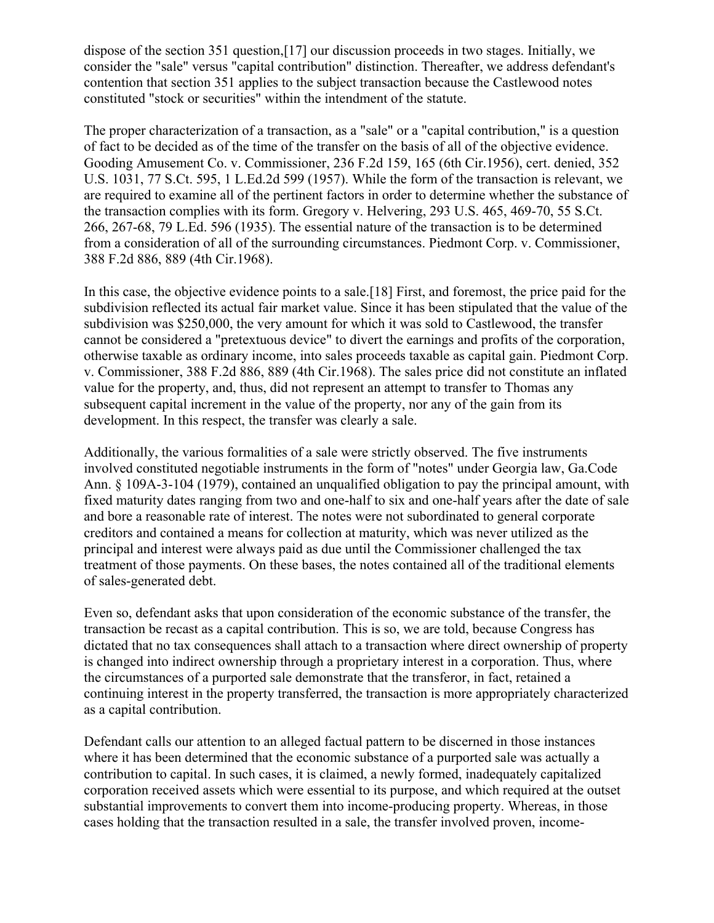dispose of the section 351 question,[17] our discussion proceeds in two stages. Initially, we consider the "sale" versus "capital contribution" distinction. Thereafter, we address defendant's contention that section 351 applies to the subject transaction because the Castlewood notes constituted "stock or securities" within the intendment of the statute.

The proper characterization of a transaction, as a "sale" or a "capital contribution," is a question of fact to be decided as of the time of the transfer on the basis of all of the objective evidence. Gooding Amusement Co. v. Commissioner, 236 F.2d 159, 165 (6th Cir.1956), cert. denied, 352 U.S. 1031, 77 S.Ct. 595, 1 L.Ed.2d 599 (1957). While the form of the transaction is relevant, we are required to examine all of the pertinent factors in order to determine whether the substance of the transaction complies with its form. Gregory v. Helvering, 293 U.S. 465, 469-70, 55 S.Ct. 266, 267-68, 79 L.Ed. 596 (1935). The essential nature of the transaction is to be determined from a consideration of all of the surrounding circumstances. Piedmont Corp. v. Commissioner, 388 F.2d 886, 889 (4th Cir.1968).

In this case, the objective evidence points to a sale.[18] First, and foremost, the price paid for the subdivision reflected its actual fair market value. Since it has been stipulated that the value of the subdivision was \$250,000, the very amount for which it was sold to Castlewood, the transfer cannot be considered a "pretextuous device" to divert the earnings and profits of the corporation, otherwise taxable as ordinary income, into sales proceeds taxable as capital gain. Piedmont Corp. v. Commissioner, 388 F.2d 886, 889 (4th Cir.1968). The sales price did not constitute an inflated value for the property, and, thus, did not represent an attempt to transfer to Thomas any subsequent capital increment in the value of the property, nor any of the gain from its development. In this respect, the transfer was clearly a sale.

Additionally, the various formalities of a sale were strictly observed. The five instruments involved constituted negotiable instruments in the form of "notes" under Georgia law, Ga.Code Ann. § 109A-3-104 (1979), contained an unqualified obligation to pay the principal amount, with fixed maturity dates ranging from two and one-half to six and one-half years after the date of sale and bore a reasonable rate of interest. The notes were not subordinated to general corporate creditors and contained a means for collection at maturity, which was never utilized as the principal and interest were always paid as due until the Commissioner challenged the tax treatment of those payments. On these bases, the notes contained all of the traditional elements of sales-generated debt.

Even so, defendant asks that upon consideration of the economic substance of the transfer, the transaction be recast as a capital contribution. This is so, we are told, because Congress has dictated that no tax consequences shall attach to a transaction where direct ownership of property is changed into indirect ownership through a proprietary interest in a corporation. Thus, where the circumstances of a purported sale demonstrate that the transferor, in fact, retained a continuing interest in the property transferred, the transaction is more appropriately characterized as a capital contribution.

Defendant calls our attention to an alleged factual pattern to be discerned in those instances where it has been determined that the economic substance of a purported sale was actually a contribution to capital. In such cases, it is claimed, a newly formed, inadequately capitalized corporation received assets which were essential to its purpose, and which required at the outset substantial improvements to convert them into income-producing property. Whereas, in those cases holding that the transaction resulted in a sale, the transfer involved proven, income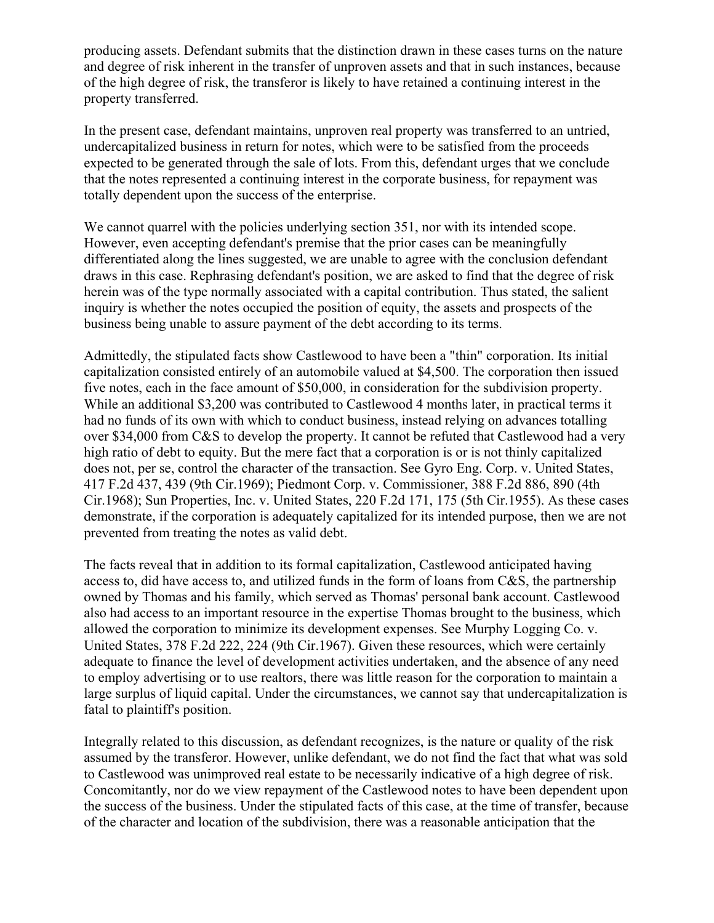producing assets. Defendant submits that the distinction drawn in these cases turns on the nature and degree of risk inherent in the transfer of unproven assets and that in such instances, because of the high degree of risk, the transferor is likely to have retained a continuing interest in the property transferred.

In the present case, defendant maintains, unproven real property was transferred to an untried, undercapitalized business in return for notes, which were to be satisfied from the proceeds expected to be generated through the sale of lots. From this, defendant urges that we conclude that the notes represented a continuing interest in the corporate business, for repayment was totally dependent upon the success of the enterprise.

We cannot quarrel with the policies underlying section 351, nor with its intended scope. However, even accepting defendant's premise that the prior cases can be meaningfully differentiated along the lines suggested, we are unable to agree with the conclusion defendant draws in this case. Rephrasing defendant's position, we are asked to find that the degree of risk herein was of the type normally associated with a capital contribution. Thus stated, the salient inquiry is whether the notes occupied the position of equity, the assets and prospects of the business being unable to assure payment of the debt according to its terms.

Admittedly, the stipulated facts show Castlewood to have been a "thin" corporation. Its initial capitalization consisted entirely of an automobile valued at \$4,500. The corporation then issued five notes, each in the face amount of \$50,000, in consideration for the subdivision property. While an additional \$3,200 was contributed to Castlewood 4 months later, in practical terms it had no funds of its own with which to conduct business, instead relying on advances totalling over \$34,000 from C&S to develop the property. It cannot be refuted that Castlewood had a very high ratio of debt to equity. But the mere fact that a corporation is or is not thinly capitalized does not, per se, control the character of the transaction. See Gyro Eng. Corp. v. United States, 417 F.2d 437, 439 (9th Cir.1969); Piedmont Corp. v. Commissioner, 388 F.2d 886, 890 (4th Cir.1968); Sun Properties, Inc. v. United States, 220 F.2d 171, 175 (5th Cir.1955). As these cases demonstrate, if the corporation is adequately capitalized for its intended purpose, then we are not prevented from treating the notes as valid debt.

The facts reveal that in addition to its formal capitalization, Castlewood anticipated having access to, did have access to, and utilized funds in the form of loans from C&S, the partnership owned by Thomas and his family, which served as Thomas' personal bank account. Castlewood also had access to an important resource in the expertise Thomas brought to the business, which allowed the corporation to minimize its development expenses. See Murphy Logging Co. v. United States, 378 F.2d 222, 224 (9th Cir.1967). Given these resources, which were certainly adequate to finance the level of development activities undertaken, and the absence of any need to employ advertising or to use realtors, there was little reason for the corporation to maintain a large surplus of liquid capital. Under the circumstances, we cannot say that undercapitalization is fatal to plaintiff's position.

Integrally related to this discussion, as defendant recognizes, is the nature or quality of the risk assumed by the transferor. However, unlike defendant, we do not find the fact that what was sold to Castlewood was unimproved real estate to be necessarily indicative of a high degree of risk. Concomitantly, nor do we view repayment of the Castlewood notes to have been dependent upon the success of the business. Under the stipulated facts of this case, at the time of transfer, because of the character and location of the subdivision, there was a reasonable anticipation that the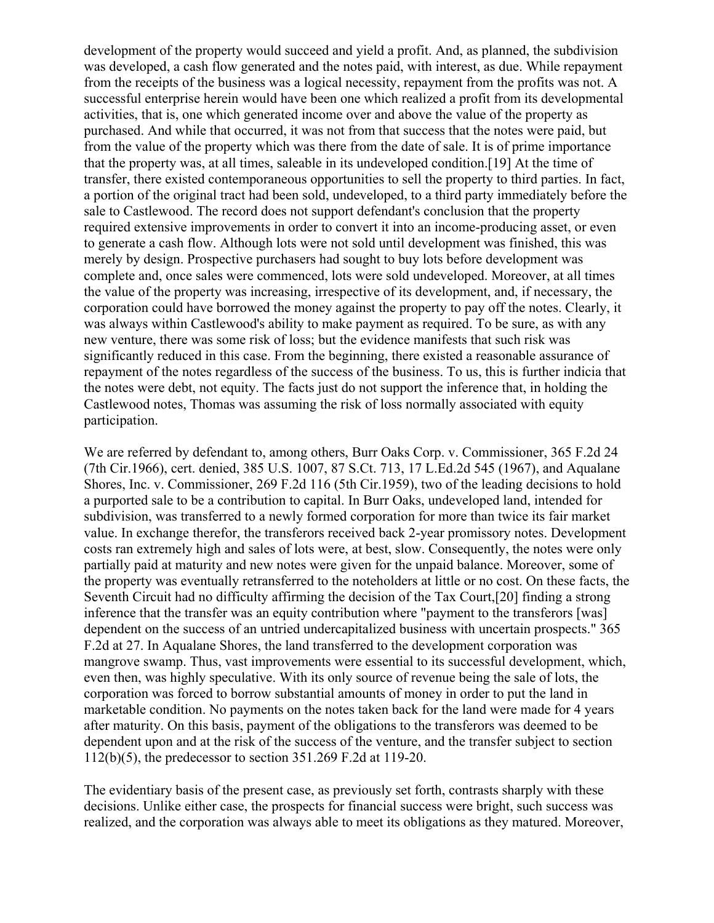development of the property would succeed and yield a profit. And, as planned, the subdivision was developed, a cash flow generated and the notes paid, with interest, as due. While repayment from the receipts of the business was a logical necessity, repayment from the profits was not. A successful enterprise herein would have been one which realized a profit from its developmental activities, that is, one which generated income over and above the value of the property as purchased. And while that occurred, it was not from that success that the notes were paid, but from the value of the property which was there from the date of sale. It is of prime importance that the property was, at all times, saleable in its undeveloped condition.[19] At the time of transfer, there existed contemporaneous opportunities to sell the property to third parties. In fact, a portion of the original tract had been sold, undeveloped, to a third party immediately before the sale to Castlewood. The record does not support defendant's conclusion that the property required extensive improvements in order to convert it into an income-producing asset, or even to generate a cash flow. Although lots were not sold until development was finished, this was merely by design. Prospective purchasers had sought to buy lots before development was complete and, once sales were commenced, lots were sold undeveloped. Moreover, at all times the value of the property was increasing, irrespective of its development, and, if necessary, the corporation could have borrowed the money against the property to pay off the notes. Clearly, it was always within Castlewood's ability to make payment as required. To be sure, as with any new venture, there was some risk of loss; but the evidence manifests that such risk was significantly reduced in this case. From the beginning, there existed a reasonable assurance of repayment of the notes regardless of the success of the business. To us, this is further indicia that the notes were debt, not equity. The facts just do not support the inference that, in holding the Castlewood notes, Thomas was assuming the risk of loss normally associated with equity participation.

We are referred by defendant to, among others, Burr Oaks Corp. v. Commissioner, 365 F.2d 24 (7th Cir.1966), cert. denied, 385 U.S. 1007, 87 S.Ct. 713, 17 L.Ed.2d 545 (1967), and Aqualane Shores, Inc. v. Commissioner, 269 F.2d 116 (5th Cir.1959), two of the leading decisions to hold a purported sale to be a contribution to capital. In Burr Oaks, undeveloped land, intended for subdivision, was transferred to a newly formed corporation for more than twice its fair market value. In exchange therefor, the transferors received back 2-year promissory notes. Development costs ran extremely high and sales of lots were, at best, slow. Consequently, the notes were only partially paid at maturity and new notes were given for the unpaid balance. Moreover, some of the property was eventually retransferred to the noteholders at little or no cost. On these facts, the Seventh Circuit had no difficulty affirming the decision of the Tax Court,[20] finding a strong inference that the transfer was an equity contribution where "payment to the transferors [was] dependent on the success of an untried undercapitalized business with uncertain prospects." 365 F.2d at 27. In Aqualane Shores, the land transferred to the development corporation was mangrove swamp. Thus, vast improvements were essential to its successful development, which, even then, was highly speculative. With its only source of revenue being the sale of lots, the corporation was forced to borrow substantial amounts of money in order to put the land in marketable condition. No payments on the notes taken back for the land were made for 4 years after maturity. On this basis, payment of the obligations to the transferors was deemed to be dependent upon and at the risk of the success of the venture, and the transfer subject to section 112(b)(5), the predecessor to section 351.269 F.2d at 119-20.

The evidentiary basis of the present case, as previously set forth, contrasts sharply with these decisions. Unlike either case, the prospects for financial success were bright, such success was realized, and the corporation was always able to meet its obligations as they matured. Moreover,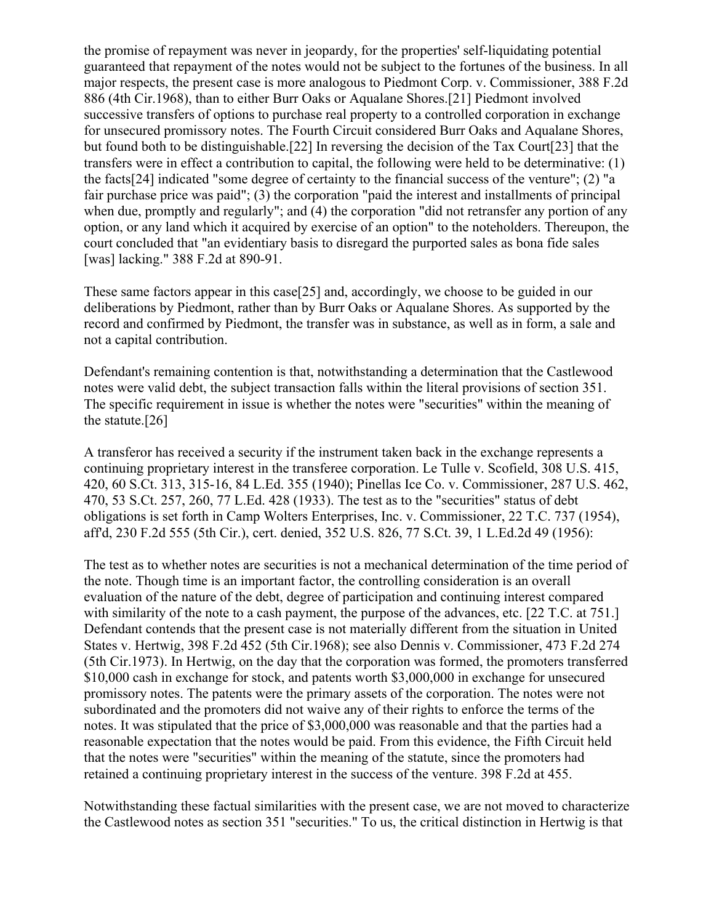the promise of repayment was never in jeopardy, for the properties' self-liquidating potential guaranteed that repayment of the notes would not be subject to the fortunes of the business. In all major respects, the present case is more analogous to Piedmont Corp. v. Commissioner, 388 F.2d 886 (4th Cir.1968), than to either Burr Oaks or Aqualane Shores.[21] Piedmont involved successive transfers of options to purchase real property to a controlled corporation in exchange for unsecured promissory notes. The Fourth Circuit considered Burr Oaks and Aqualane Shores, but found both to be distinguishable.[22] In reversing the decision of the Tax Court[23] that the transfers were in effect a contribution to capital, the following were held to be determinative: (1) the facts[24] indicated "some degree of certainty to the financial success of the venture"; (2) "a fair purchase price was paid"; (3) the corporation "paid the interest and installments of principal when due, promptly and regularly"; and (4) the corporation "did not retransfer any portion of any option, or any land which it acquired by exercise of an option" to the noteholders. Thereupon, the court concluded that "an evidentiary basis to disregard the purported sales as bona fide sales [was] lacking." 388 F.2d at 890-91.

These same factors appear in this case[25] and, accordingly, we choose to be guided in our deliberations by Piedmont, rather than by Burr Oaks or Aqualane Shores. As supported by the record and confirmed by Piedmont, the transfer was in substance, as well as in form, a sale and not a capital contribution.

Defendant's remaining contention is that, notwithstanding a determination that the Castlewood notes were valid debt, the subject transaction falls within the literal provisions of section 351. The specific requirement in issue is whether the notes were "securities" within the meaning of the statute.[26]

A transferor has received a security if the instrument taken back in the exchange represents a continuing proprietary interest in the transferee corporation. Le Tulle v. Scofield, 308 U.S. 415, 420, 60 S.Ct. 313, 315-16, 84 L.Ed. 355 (1940); Pinellas Ice Co. v. Commissioner, 287 U.S. 462, 470, 53 S.Ct. 257, 260, 77 L.Ed. 428 (1933). The test as to the "securities" status of debt obligations is set forth in Camp Wolters Enterprises, Inc. v. Commissioner, 22 T.C. 737 (1954), aff'd, 230 F.2d 555 (5th Cir.), cert. denied, 352 U.S. 826, 77 S.Ct. 39, 1 L.Ed.2d 49 (1956):

The test as to whether notes are securities is not a mechanical determination of the time period of the note. Though time is an important factor, the controlling consideration is an overall evaluation of the nature of the debt, degree of participation and continuing interest compared with similarity of the note to a cash payment, the purpose of the advances, etc. [22 T.C. at 751.] Defendant contends that the present case is not materially different from the situation in United States v. Hertwig, 398 F.2d 452 (5th Cir.1968); see also Dennis v. Commissioner, 473 F.2d 274 (5th Cir.1973). In Hertwig, on the day that the corporation was formed, the promoters transferred \$10,000 cash in exchange for stock, and patents worth \$3,000,000 in exchange for unsecured promissory notes. The patents were the primary assets of the corporation. The notes were not subordinated and the promoters did not waive any of their rights to enforce the terms of the notes. It was stipulated that the price of \$3,000,000 was reasonable and that the parties had a reasonable expectation that the notes would be paid. From this evidence, the Fifth Circuit held that the notes were "securities" within the meaning of the statute, since the promoters had retained a continuing proprietary interest in the success of the venture. 398 F.2d at 455.

Notwithstanding these factual similarities with the present case, we are not moved to characterize the Castlewood notes as section 351 "securities." To us, the critical distinction in Hertwig is that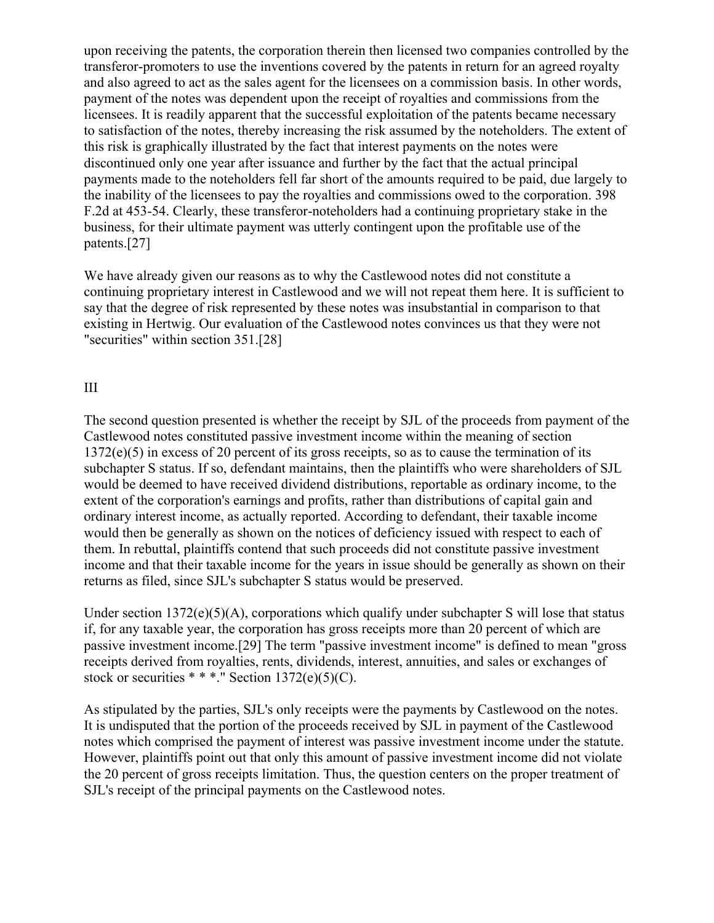upon receiving the patents, the corporation therein then licensed two companies controlled by the transferor-promoters to use the inventions covered by the patents in return for an agreed royalty and also agreed to act as the sales agent for the licensees on a commission basis. In other words, payment of the notes was dependent upon the receipt of royalties and commissions from the licensees. It is readily apparent that the successful exploitation of the patents became necessary to satisfaction of the notes, thereby increasing the risk assumed by the noteholders. The extent of this risk is graphically illustrated by the fact that interest payments on the notes were discontinued only one year after issuance and further by the fact that the actual principal payments made to the noteholders fell far short of the amounts required to be paid, due largely to the inability of the licensees to pay the royalties and commissions owed to the corporation. 398 F.2d at 453-54. Clearly, these transferor-noteholders had a continuing proprietary stake in the business, for their ultimate payment was utterly contingent upon the profitable use of the patents.[27]

We have already given our reasons as to why the Castlewood notes did not constitute a continuing proprietary interest in Castlewood and we will not repeat them here. It is sufficient to say that the degree of risk represented by these notes was insubstantial in comparison to that existing in Hertwig. Our evaluation of the Castlewood notes convinces us that they were not "securities" within section 351.[28]

## III

The second question presented is whether the receipt by SJL of the proceeds from payment of the Castlewood notes constituted passive investment income within the meaning of section 1372(e)(5) in excess of 20 percent of its gross receipts, so as to cause the termination of its subchapter S status. If so, defendant maintains, then the plaintiffs who were shareholders of SJL would be deemed to have received dividend distributions, reportable as ordinary income, to the extent of the corporation's earnings and profits, rather than distributions of capital gain and ordinary interest income, as actually reported. According to defendant, their taxable income would then be generally as shown on the notices of deficiency issued with respect to each of them. In rebuttal, plaintiffs contend that such proceeds did not constitute passive investment income and that their taxable income for the years in issue should be generally as shown on their returns as filed, since SJL's subchapter S status would be preserved.

Under section 1372(e)(5)(A), corporations which qualify under subchapter S will lose that status if, for any taxable year, the corporation has gross receipts more than 20 percent of which are passive investment income.[29] The term "passive investment income" is defined to mean "gross receipts derived from royalties, rents, dividends, interest, annuities, and sales or exchanges of stock or securities  $**$ ." Section 1372(e)(5)(C).

As stipulated by the parties, SJL's only receipts were the payments by Castlewood on the notes. It is undisputed that the portion of the proceeds received by SJL in payment of the Castlewood notes which comprised the payment of interest was passive investment income under the statute. However, plaintiffs point out that only this amount of passive investment income did not violate the 20 percent of gross receipts limitation. Thus, the question centers on the proper treatment of SJL's receipt of the principal payments on the Castlewood notes.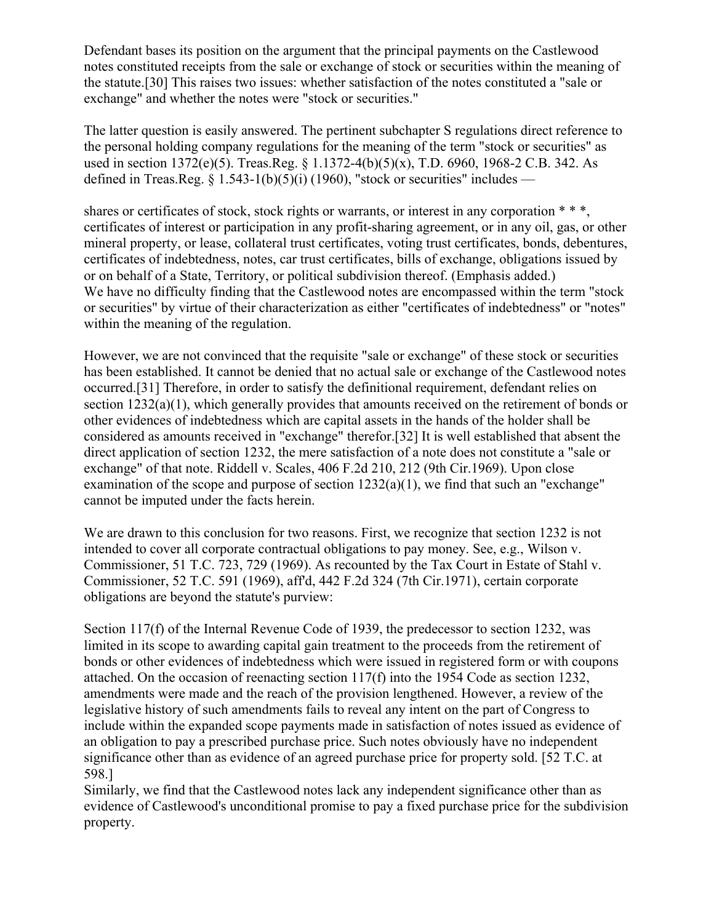Defendant bases its position on the argument that the principal payments on the Castlewood notes constituted receipts from the sale or exchange of stock or securities within the meaning of the statute.[30] This raises two issues: whether satisfaction of the notes constituted a "sale or exchange" and whether the notes were "stock or securities."

The latter question is easily answered. The pertinent subchapter S regulations direct reference to the personal holding company regulations for the meaning of the term "stock or securities" as used in section 1372(e)(5). Treas.Reg. § 1.1372-4(b)(5)(x), T.D. 6960, 1968-2 C.B. 342. As defined in Treas.Reg. § 1.543-1(b)(5)(i) (1960), "stock or securities" includes —

shares or certificates of stock, stock rights or warrants, or interest in any corporation \* \* \*, certificates of interest or participation in any profit-sharing agreement, or in any oil, gas, or other mineral property, or lease, collateral trust certificates, voting trust certificates, bonds, debentures, certificates of indebtedness, notes, car trust certificates, bills of exchange, obligations issued by or on behalf of a State, Territory, or political subdivision thereof. (Emphasis added.) We have no difficulty finding that the Castlewood notes are encompassed within the term "stock or securities" by virtue of their characterization as either "certificates of indebtedness" or "notes" within the meaning of the regulation.

However, we are not convinced that the requisite "sale or exchange" of these stock or securities has been established. It cannot be denied that no actual sale or exchange of the Castlewood notes occurred.[31] Therefore, in order to satisfy the definitional requirement, defendant relies on section 1232(a)(1), which generally provides that amounts received on the retirement of bonds or other evidences of indebtedness which are capital assets in the hands of the holder shall be considered as amounts received in "exchange" therefor.[32] It is well established that absent the direct application of section 1232, the mere satisfaction of a note does not constitute a "sale or exchange" of that note. Riddell v. Scales, 406 F.2d 210, 212 (9th Cir.1969). Upon close examination of the scope and purpose of section  $1232(a)(1)$ , we find that such an "exchange" cannot be imputed under the facts herein.

We are drawn to this conclusion for two reasons. First, we recognize that section 1232 is not intended to cover all corporate contractual obligations to pay money. See, e.g., Wilson v. Commissioner, 51 T.C. 723, 729 (1969). As recounted by the Tax Court in Estate of Stahl v. Commissioner, 52 T.C. 591 (1969), aff'd, 442 F.2d 324 (7th Cir.1971), certain corporate obligations are beyond the statute's purview:

Section 117(f) of the Internal Revenue Code of 1939, the predecessor to section 1232, was limited in its scope to awarding capital gain treatment to the proceeds from the retirement of bonds or other evidences of indebtedness which were issued in registered form or with coupons attached. On the occasion of reenacting section 117(f) into the 1954 Code as section 1232, amendments were made and the reach of the provision lengthened. However, a review of the legislative history of such amendments fails to reveal any intent on the part of Congress to include within the expanded scope payments made in satisfaction of notes issued as evidence of an obligation to pay a prescribed purchase price. Such notes obviously have no independent significance other than as evidence of an agreed purchase price for property sold. [52 T.C. at 598.]

Similarly, we find that the Castlewood notes lack any independent significance other than as evidence of Castlewood's unconditional promise to pay a fixed purchase price for the subdivision property.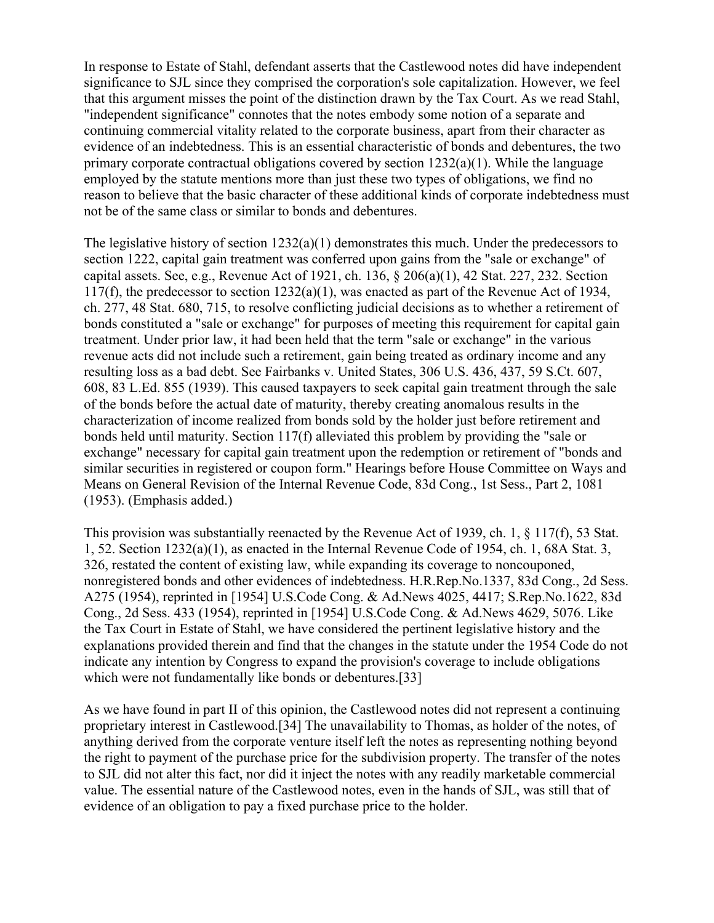In response to Estate of Stahl, defendant asserts that the Castlewood notes did have independent significance to SJL since they comprised the corporation's sole capitalization. However, we feel that this argument misses the point of the distinction drawn by the Tax Court. As we read Stahl, "independent significance" connotes that the notes embody some notion of a separate and continuing commercial vitality related to the corporate business, apart from their character as evidence of an indebtedness. This is an essential characteristic of bonds and debentures, the two primary corporate contractual obligations covered by section  $1232(a)(1)$ . While the language employed by the statute mentions more than just these two types of obligations, we find no reason to believe that the basic character of these additional kinds of corporate indebtedness must not be of the same class or similar to bonds and debentures.

The legislative history of section 1232(a)(1) demonstrates this much. Under the predecessors to section 1222, capital gain treatment was conferred upon gains from the "sale or exchange" of capital assets. See, e.g., Revenue Act of 1921, ch. 136, § 206(a)(1), 42 Stat. 227, 232. Section 117(f), the predecessor to section 1232(a)(1), was enacted as part of the Revenue Act of 1934, ch. 277, 48 Stat. 680, 715, to resolve conflicting judicial decisions as to whether a retirement of bonds constituted a "sale or exchange" for purposes of meeting this requirement for capital gain treatment. Under prior law, it had been held that the term "sale or exchange" in the various revenue acts did not include such a retirement, gain being treated as ordinary income and any resulting loss as a bad debt. See Fairbanks v. United States, 306 U.S. 436, 437, 59 S.Ct. 607, 608, 83 L.Ed. 855 (1939). This caused taxpayers to seek capital gain treatment through the sale of the bonds before the actual date of maturity, thereby creating anomalous results in the characterization of income realized from bonds sold by the holder just before retirement and bonds held until maturity. Section 117(f) alleviated this problem by providing the "sale or exchange" necessary for capital gain treatment upon the redemption or retirement of "bonds and similar securities in registered or coupon form." Hearings before House Committee on Ways and Means on General Revision of the Internal Revenue Code, 83d Cong., 1st Sess., Part 2, 1081 (1953). (Emphasis added.)

This provision was substantially reenacted by the Revenue Act of 1939, ch. 1, § 117(f), 53 Stat. 1, 52. Section 1232(a)(1), as enacted in the Internal Revenue Code of 1954, ch. 1, 68A Stat. 3, 326, restated the content of existing law, while expanding its coverage to noncouponed, nonregistered bonds and other evidences of indebtedness. H.R.Rep.No.1337, 83d Cong., 2d Sess. A275 (1954), reprinted in [1954] U.S.Code Cong. & Ad.News 4025, 4417; S.Rep.No.1622, 83d Cong., 2d Sess. 433 (1954), reprinted in [1954] U.S.Code Cong. & Ad.News 4629, 5076. Like the Tax Court in Estate of Stahl, we have considered the pertinent legislative history and the explanations provided therein and find that the changes in the statute under the 1954 Code do not indicate any intention by Congress to expand the provision's coverage to include obligations which were not fundamentally like bonds or debentures.[33]

As we have found in part II of this opinion, the Castlewood notes did not represent a continuing proprietary interest in Castlewood.[34] The unavailability to Thomas, as holder of the notes, of anything derived from the corporate venture itself left the notes as representing nothing beyond the right to payment of the purchase price for the subdivision property. The transfer of the notes to SJL did not alter this fact, nor did it inject the notes with any readily marketable commercial value. The essential nature of the Castlewood notes, even in the hands of SJL, was still that of evidence of an obligation to pay a fixed purchase price to the holder.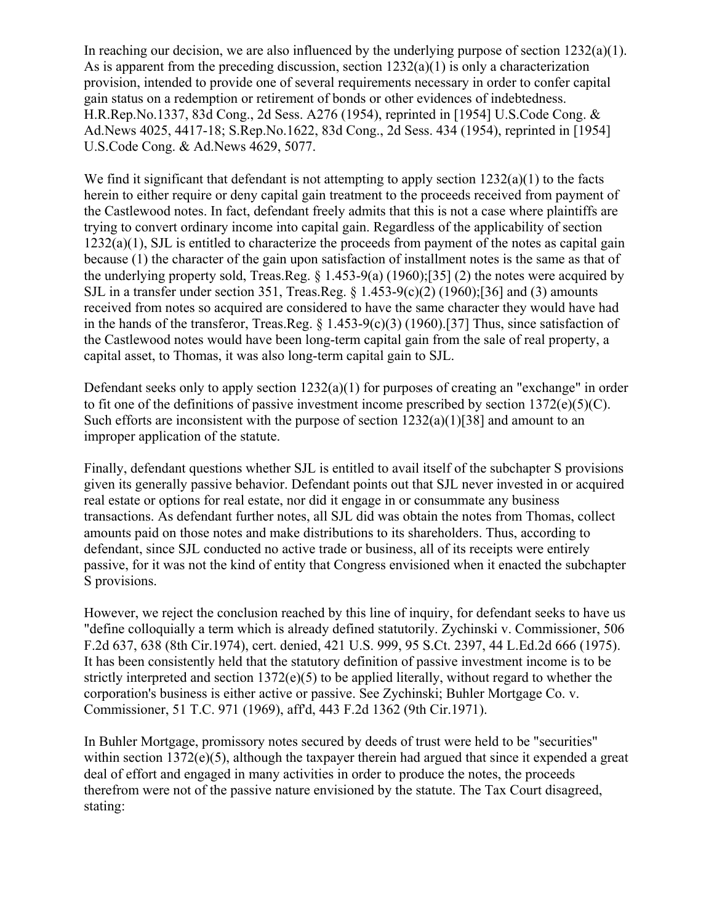In reaching our decision, we are also influenced by the underlying purpose of section  $1232(a)(1)$ . As is apparent from the preceding discussion, section  $1232(a)(1)$  is only a characterization provision, intended to provide one of several requirements necessary in order to confer capital gain status on a redemption or retirement of bonds or other evidences of indebtedness. H.R.Rep.No.1337, 83d Cong., 2d Sess. A276 (1954), reprinted in [1954] U.S.Code Cong. & Ad.News 4025, 4417-18; S.Rep.No.1622, 83d Cong., 2d Sess. 434 (1954), reprinted in [1954] U.S.Code Cong. & Ad.News 4629, 5077.

We find it significant that defendant is not attempting to apply section  $1232(a)(1)$  to the facts herein to either require or deny capital gain treatment to the proceeds received from payment of the Castlewood notes. In fact, defendant freely admits that this is not a case where plaintiffs are trying to convert ordinary income into capital gain. Regardless of the applicability of section 1232(a)(1), SJL is entitled to characterize the proceeds from payment of the notes as capital gain because (1) the character of the gain upon satisfaction of installment notes is the same as that of the underlying property sold, Treas.Reg. § 1.453-9(a) (1960);[35] (2) the notes were acquired by SJL in a transfer under section 351, Treas.Reg.  $\S$  1.453-9(c)(2) (1960);[36] and (3) amounts received from notes so acquired are considered to have the same character they would have had in the hands of the transferor, Treas.Reg. § 1.453-9(c)(3) (1960).[37] Thus, since satisfaction of the Castlewood notes would have been long-term capital gain from the sale of real property, a capital asset, to Thomas, it was also long-term capital gain to SJL.

Defendant seeks only to apply section  $1232(a)(1)$  for purposes of creating an "exchange" in order to fit one of the definitions of passive investment income prescribed by section  $1372(e)(5)(C)$ . Such efforts are inconsistent with the purpose of section  $1232(a)(1)[38]$  and amount to an improper application of the statute.

Finally, defendant questions whether SJL is entitled to avail itself of the subchapter S provisions given its generally passive behavior. Defendant points out that SJL never invested in or acquired real estate or options for real estate, nor did it engage in or consummate any business transactions. As defendant further notes, all SJL did was obtain the notes from Thomas, collect amounts paid on those notes and make distributions to its shareholders. Thus, according to defendant, since SJL conducted no active trade or business, all of its receipts were entirely passive, for it was not the kind of entity that Congress envisioned when it enacted the subchapter S provisions.

However, we reject the conclusion reached by this line of inquiry, for defendant seeks to have us "define colloquially a term which is already defined statutorily. Zychinski v. Commissioner, 506 F.2d 637, 638 (8th Cir.1974), cert. denied, 421 U.S. 999, 95 S.Ct. 2397, 44 L.Ed.2d 666 (1975). It has been consistently held that the statutory definition of passive investment income is to be strictly interpreted and section 1372(e)(5) to be applied literally, without regard to whether the corporation's business is either active or passive. See Zychinski; Buhler Mortgage Co. v. Commissioner, 51 T.C. 971 (1969), aff'd, 443 F.2d 1362 (9th Cir.1971).

In Buhler Mortgage, promissory notes secured by deeds of trust were held to be "securities" within section 1372(e)(5), although the taxpayer therein had argued that since it expended a great deal of effort and engaged in many activities in order to produce the notes, the proceeds therefrom were not of the passive nature envisioned by the statute. The Tax Court disagreed, stating: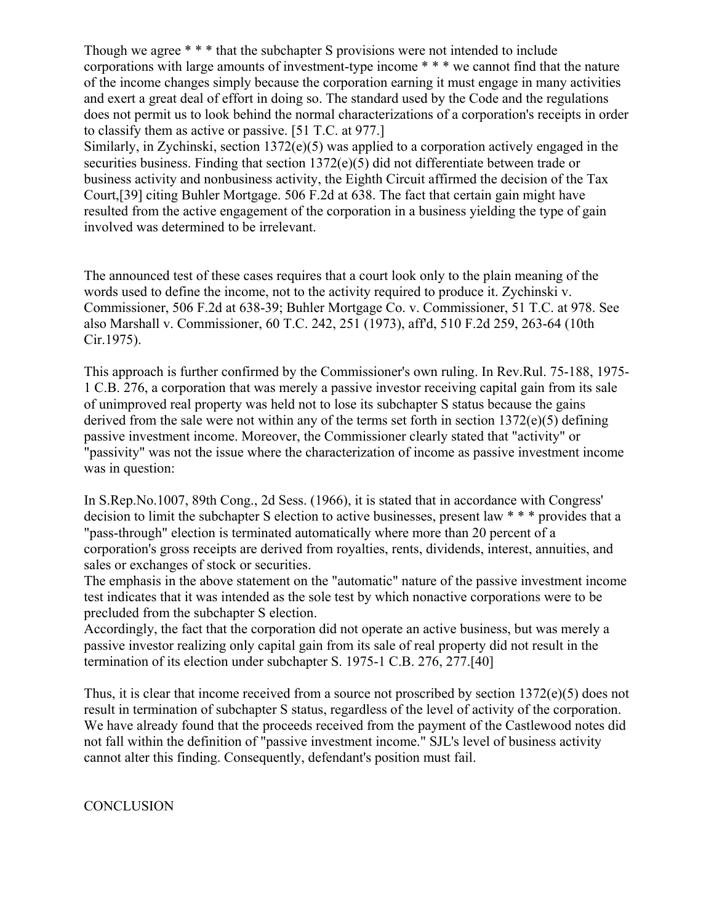Though we agree \* \* \* that the subchapter S provisions were not intended to include corporations with large amounts of investment-type income \* \* \* we cannot find that the nature of the income changes simply because the corporation earning it must engage in many activities and exert a great deal of effort in doing so. The standard used by the Code and the regulations does not permit us to look behind the normal characterizations of a corporation's receipts in order to classify them as active or passive. [51 T.C. at 977.] Similarly, in Zychinski, section 1372(e)(5) was applied to a corporation actively engaged in the securities business. Finding that section 1372(e)(5) did not differentiate between trade or business activity and nonbusiness activity, the Eighth Circuit affirmed the decision of the Tax Court,[39] citing Buhler Mortgage. 506 F.2d at 638. The fact that certain gain might have resulted from the active engagement of the corporation in a business yielding the type of gain involved was determined to be irrelevant.

The announced test of these cases requires that a court look only to the plain meaning of the words used to define the income, not to the activity required to produce it. Zychinski v. Commissioner, 506 F.2d at 638-39; Buhler Mortgage Co. v. Commissioner, 51 T.C. at 978. See also Marshall v. Commissioner, 60 T.C. 242, 251 (1973), aff'd, 510 F.2d 259, 263-64 (10th Cir.1975).

This approach is further confirmed by the Commissioner's own ruling. In Rev.Rul. 75-188, 1975- 1 C.B. 276, a corporation that was merely a passive investor receiving capital gain from its sale of unimproved real property was held not to lose its subchapter S status because the gains derived from the sale were not within any of the terms set forth in section 1372(e)(5) defining passive investment income. Moreover, the Commissioner clearly stated that "activity" or "passivity" was not the issue where the characterization of income as passive investment income was in question:

In S.Rep.No.1007, 89th Cong., 2d Sess. (1966), it is stated that in accordance with Congress' decision to limit the subchapter S election to active businesses, present law \* \* \* provides that a "pass-through" election is terminated automatically where more than 20 percent of a corporation's gross receipts are derived from royalties, rents, dividends, interest, annuities, and sales or exchanges of stock or securities.

The emphasis in the above statement on the "automatic" nature of the passive investment income test indicates that it was intended as the sole test by which nonactive corporations were to be precluded from the subchapter S election.

Accordingly, the fact that the corporation did not operate an active business, but was merely a passive investor realizing only capital gain from its sale of real property did not result in the termination of its election under subchapter S. 1975-1 C.B. 276, 277.[40]

Thus, it is clear that income received from a source not proscribed by section 1372(e)(5) does not result in termination of subchapter S status, regardless of the level of activity of the corporation. We have already found that the proceeds received from the payment of the Castlewood notes did not fall within the definition of "passive investment income." SJL's level of business activity cannot alter this finding. Consequently, defendant's position must fail.

**CONCLUSION**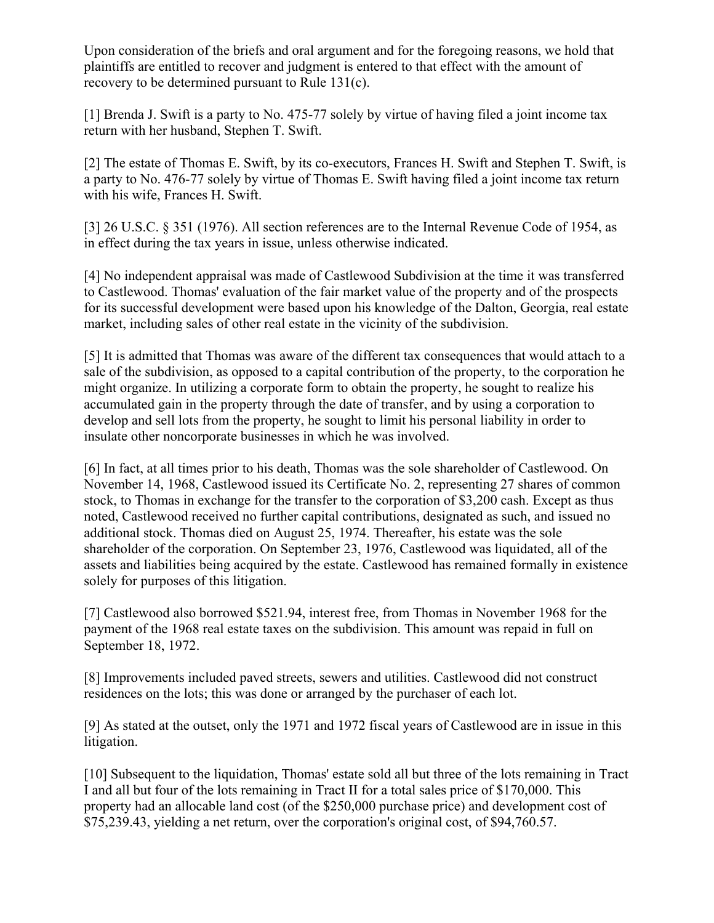Upon consideration of the briefs and oral argument and for the foregoing reasons, we hold that plaintiffs are entitled to recover and judgment is entered to that effect with the amount of recovery to be determined pursuant to Rule 131(c).

[1] Brenda J. Swift is a party to No. 475-77 solely by virtue of having filed a joint income tax return with her husband, Stephen T. Swift.

[2] The estate of Thomas E. Swift, by its co-executors, Frances H. Swift and Stephen T. Swift, is a party to No. 476-77 solely by virtue of Thomas E. Swift having filed a joint income tax return with his wife, Frances H. Swift.

[3] 26 U.S.C. § 351 (1976). All section references are to the Internal Revenue Code of 1954, as in effect during the tax years in issue, unless otherwise indicated.

[4] No independent appraisal was made of Castlewood Subdivision at the time it was transferred to Castlewood. Thomas' evaluation of the fair market value of the property and of the prospects for its successful development were based upon his knowledge of the Dalton, Georgia, real estate market, including sales of other real estate in the vicinity of the subdivision.

[5] It is admitted that Thomas was aware of the different tax consequences that would attach to a sale of the subdivision, as opposed to a capital contribution of the property, to the corporation he might organize. In utilizing a corporate form to obtain the property, he sought to realize his accumulated gain in the property through the date of transfer, and by using a corporation to develop and sell lots from the property, he sought to limit his personal liability in order to insulate other noncorporate businesses in which he was involved.

[6] In fact, at all times prior to his death, Thomas was the sole shareholder of Castlewood. On November 14, 1968, Castlewood issued its Certificate No. 2, representing 27 shares of common stock, to Thomas in exchange for the transfer to the corporation of \$3,200 cash. Except as thus noted, Castlewood received no further capital contributions, designated as such, and issued no additional stock. Thomas died on August 25, 1974. Thereafter, his estate was the sole shareholder of the corporation. On September 23, 1976, Castlewood was liquidated, all of the assets and liabilities being acquired by the estate. Castlewood has remained formally in existence solely for purposes of this litigation.

[7] Castlewood also borrowed \$521.94, interest free, from Thomas in November 1968 for the payment of the 1968 real estate taxes on the subdivision. This amount was repaid in full on September 18, 1972.

[8] Improvements included paved streets, sewers and utilities. Castlewood did not construct residences on the lots; this was done or arranged by the purchaser of each lot.

[9] As stated at the outset, only the 1971 and 1972 fiscal years of Castlewood are in issue in this litigation.

[10] Subsequent to the liquidation, Thomas' estate sold all but three of the lots remaining in Tract I and all but four of the lots remaining in Tract II for a total sales price of \$170,000. This property had an allocable land cost (of the \$250,000 purchase price) and development cost of \$75,239.43, yielding a net return, over the corporation's original cost, of \$94,760.57.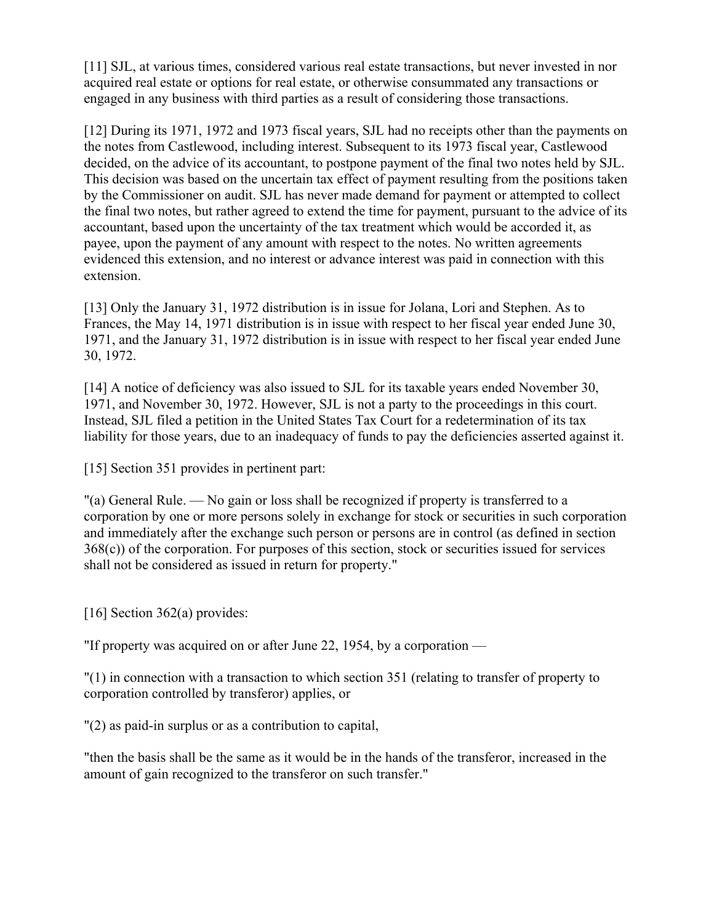[11] SJL, at various times, considered various real estate transactions, but never invested in nor acquired real estate or options for real estate, or otherwise consummated any transactions or engaged in any business with third parties as a result of considering those transactions.

[12] During its 1971, 1972 and 1973 fiscal years, SJL had no receipts other than the payments on the notes from Castlewood, including interest. Subsequent to its 1973 fiscal year, Castlewood decided, on the advice of its accountant, to postpone payment of the final two notes held by SJL. This decision was based on the uncertain tax effect of payment resulting from the positions taken by the Commissioner on audit. SJL has never made demand for payment or attempted to collect the final two notes, but rather agreed to extend the time for payment, pursuant to the advice of its accountant, based upon the uncertainty of the tax treatment which would be accorded it, as payee, upon the payment of any amount with respect to the notes. No written agreements evidenced this extension, and no interest or advance interest was paid in connection with this extension.

[13] Only the January 31, 1972 distribution is in issue for Jolana, Lori and Stephen. As to Frances, the May 14, 1971 distribution is in issue with respect to her fiscal year ended June 30, 1971, and the January 31, 1972 distribution is in issue with respect to her fiscal year ended June 30, 1972.

[14] A notice of deficiency was also issued to SJL for its taxable years ended November 30, 1971, and November 30, 1972. However, SJL is not a party to the proceedings in this court. Instead, SJL filed a petition in the United States Tax Court for a redetermination of its tax liability for those years, due to an inadequacy of funds to pay the deficiencies asserted against it.

[15] Section 351 provides in pertinent part:

"(a) General Rule. — No gain or loss shall be recognized if property is transferred to a corporation by one or more persons solely in exchange for stock or securities in such corporation and immediately after the exchange such person or persons are in control (as defined in section 368(c)) of the corporation. For purposes of this section, stock or securities issued for services shall not be considered as issued in return for property."

[16] Section 362(a) provides:

"If property was acquired on or after June 22, 1954, by a corporation —

"(1) in connection with a transaction to which section 351 (relating to transfer of property to corporation controlled by transferor) applies, or

"(2) as paid-in surplus or as a contribution to capital,

"then the basis shall be the same as it would be in the hands of the transferor, increased in the amount of gain recognized to the transferor on such transfer."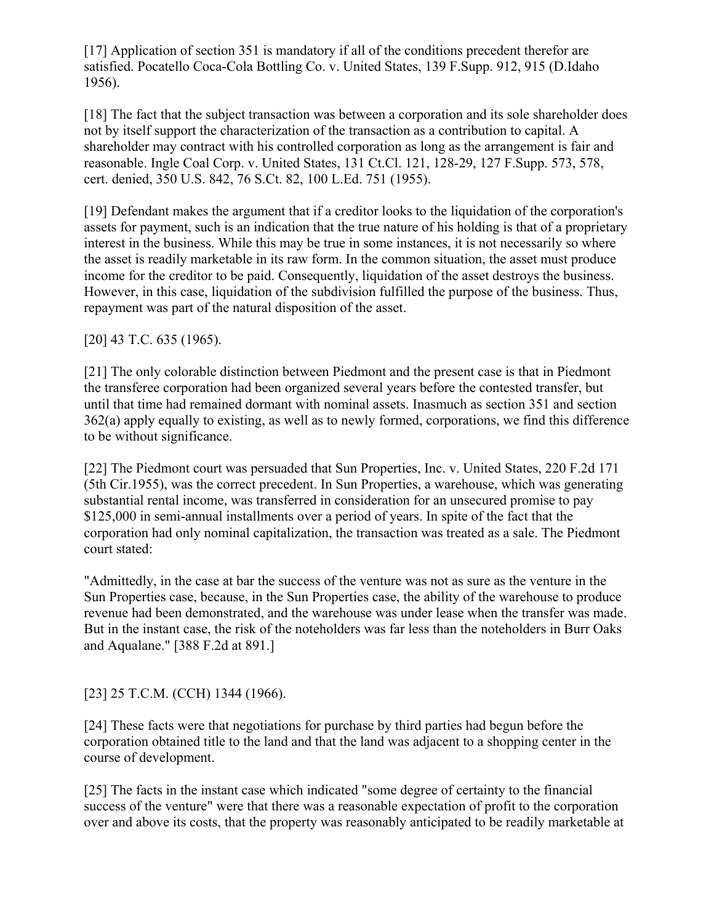[17] Application of section 351 is mandatory if all of the conditions precedent therefor are satisfied. Pocatello Coca-Cola Bottling Co. v. United States, 139 F.Supp. 912, 915 (D.Idaho 1956).

[18] The fact that the subject transaction was between a corporation and its sole shareholder does not by itself support the characterization of the transaction as a contribution to capital. A shareholder may contract with his controlled corporation as long as the arrangement is fair and reasonable. Ingle Coal Corp. v. United States, 131 Ct.Cl. 121, 128-29, 127 F.Supp. 573, 578, cert. denied, 350 U.S. 842, 76 S.Ct. 82, 100 L.Ed. 751 (1955).

[19] Defendant makes the argument that if a creditor looks to the liquidation of the corporation's assets for payment, such is an indication that the true nature of his holding is that of a proprietary interest in the business. While this may be true in some instances, it is not necessarily so where the asset is readily marketable in its raw form. In the common situation, the asset must produce income for the creditor to be paid. Consequently, liquidation of the asset destroys the business. However, in this case, liquidation of the subdivision fulfilled the purpose of the business. Thus, repayment was part of the natural disposition of the asset.

[20] 43 T.C. 635 (1965).

[21] The only colorable distinction between Piedmont and the present case is that in Piedmont the transferee corporation had been organized several years before the contested transfer, but until that time had remained dormant with nominal assets. Inasmuch as section 351 and section 362(a) apply equally to existing, as well as to newly formed, corporations, we find this difference to be without significance.

[22] The Piedmont court was persuaded that Sun Properties, Inc. v. United States, 220 F.2d 171 (5th Cir.1955), was the correct precedent. In Sun Properties, a warehouse, which was generating substantial rental income, was transferred in consideration for an unsecured promise to pay \$125,000 in semi-annual installments over a period of years. In spite of the fact that the corporation had only nominal capitalization, the transaction was treated as a sale. The Piedmont court stated:

"Admittedly, in the case at bar the success of the venture was not as sure as the venture in the Sun Properties case, because, in the Sun Properties case, the ability of the warehouse to produce revenue had been demonstrated, and the warehouse was under lease when the transfer was made. But in the instant case, the risk of the noteholders was far less than the noteholders in Burr Oaks and Aqualane." [388 F.2d at 891.]

[23] 25 T.C.M. (CCH) 1344 (1966).

[24] These facts were that negotiations for purchase by third parties had begun before the corporation obtained title to the land and that the land was adjacent to a shopping center in the course of development.

[25] The facts in the instant case which indicated "some degree of certainty to the financial success of the venture" were that there was a reasonable expectation of profit to the corporation over and above its costs, that the property was reasonably anticipated to be readily marketable at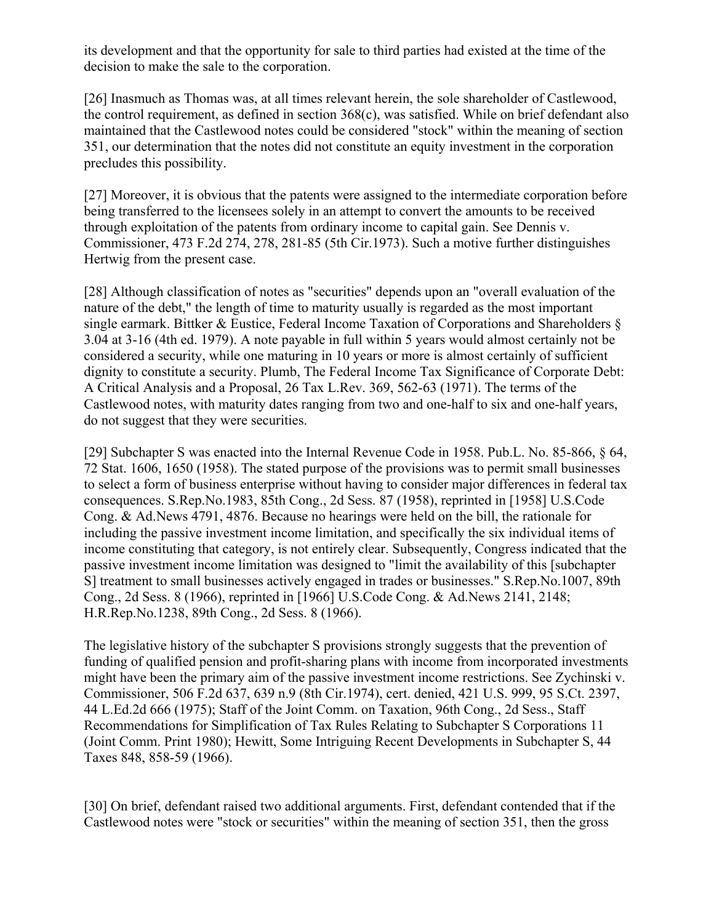its development and that the opportunity for sale to third parties had existed at the time of the decision to make the sale to the corporation.

[26] Inasmuch as Thomas was, at all times relevant herein, the sole shareholder of Castlewood, the control requirement, as defined in section 368(c), was satisfied. While on brief defendant also maintained that the Castlewood notes could be considered "stock" within the meaning of section 351, our determination that the notes did not constitute an equity investment in the corporation precludes this possibility.

[27] Moreover, it is obvious that the patents were assigned to the intermediate corporation before being transferred to the licensees solely in an attempt to convert the amounts to be received through exploitation of the patents from ordinary income to capital gain. See Dennis v. Commissioner, 473 F.2d 274, 278, 281-85 (5th Cir.1973). Such a motive further distinguishes Hertwig from the present case.

[28] Although classification of notes as "securities" depends upon an "overall evaluation of the nature of the debt," the length of time to maturity usually is regarded as the most important single earmark. Bittker & Eustice, Federal Income Taxation of Corporations and Shareholders § 3.04 at 3-16 (4th ed. 1979). A note payable in full within 5 years would almost certainly not be considered a security, while one maturing in 10 years or more is almost certainly of sufficient dignity to constitute a security. Plumb, The Federal Income Tax Significance of Corporate Debt: A Critical Analysis and a Proposal, 26 Tax L.Rev. 369, 562-63 (1971). The terms of the Castlewood notes, with maturity dates ranging from two and one-half to six and one-half years, do not suggest that they were securities.

[29] Subchapter S was enacted into the Internal Revenue Code in 1958. Pub.L. No. 85-866, § 64, 72 Stat. 1606, 1650 (1958). The stated purpose of the provisions was to permit small businesses to select a form of business enterprise without having to consider major differences in federal tax consequences. S.Rep.No.1983, 85th Cong., 2d Sess. 87 (1958), reprinted in [1958] U.S.Code Cong. & Ad.News 4791, 4876. Because no hearings were held on the bill, the rationale for including the passive investment income limitation, and specifically the six individual items of income constituting that category, is not entirely clear. Subsequently, Congress indicated that the passive investment income limitation was designed to "limit the availability of this [subchapter S] treatment to small businesses actively engaged in trades or businesses." S.Rep.No.1007, 89th Cong., 2d Sess. 8 (1966), reprinted in [1966] U.S.Code Cong. & Ad.News 2141, 2148; H.R.Rep.No.1238, 89th Cong., 2d Sess. 8 (1966).

The legislative history of the subchapter S provisions strongly suggests that the prevention of funding of qualified pension and profit-sharing plans with income from incorporated investments might have been the primary aim of the passive investment income restrictions. See Zychinski v. Commissioner, 506 F.2d 637, 639 n.9 (8th Cir.1974), cert. denied, 421 U.S. 999, 95 S.Ct. 2397, 44 L.Ed.2d 666 (1975); Staff of the Joint Comm. on Taxation, 96th Cong., 2d Sess., Staff Recommendations for Simplification of Tax Rules Relating to Subchapter S Corporations 11 (Joint Comm. Print 1980); Hewitt, Some Intriguing Recent Developments in Subchapter S, 44 Taxes 848, 858-59 (1966).

[30] On brief, defendant raised two additional arguments. First, defendant contended that if the Castlewood notes were "stock or securities" within the meaning of section 351, then the gross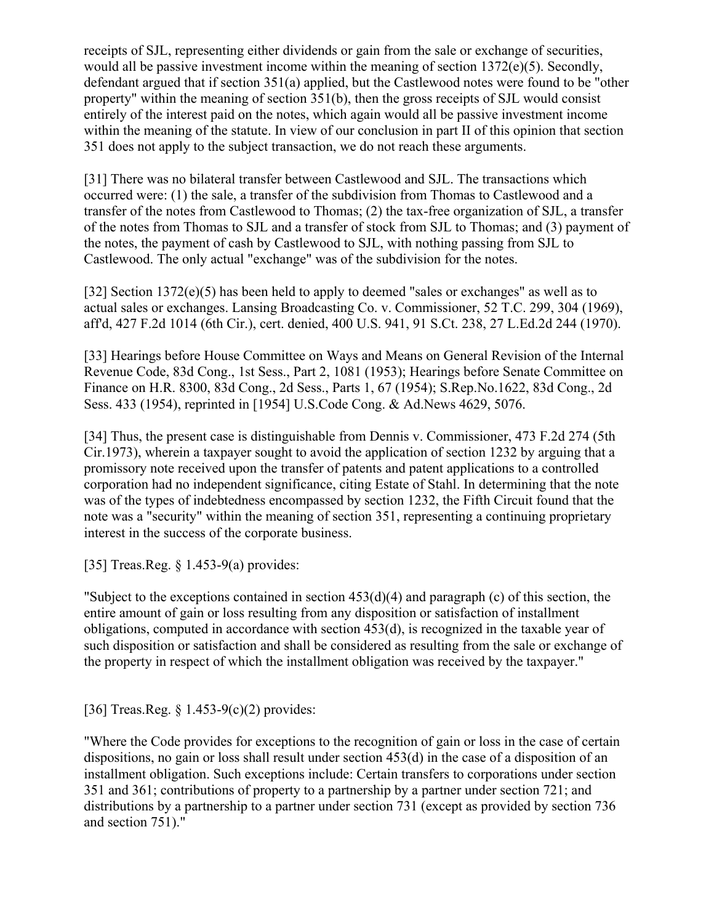receipts of SJL, representing either dividends or gain from the sale or exchange of securities, would all be passive investment income within the meaning of section 1372(e)(5). Secondly, defendant argued that if section 351(a) applied, but the Castlewood notes were found to be "other property" within the meaning of section 351(b), then the gross receipts of SJL would consist entirely of the interest paid on the notes, which again would all be passive investment income within the meaning of the statute. In view of our conclusion in part II of this opinion that section 351 does not apply to the subject transaction, we do not reach these arguments.

[31] There was no bilateral transfer between Castlewood and SJL. The transactions which occurred were: (1) the sale, a transfer of the subdivision from Thomas to Castlewood and a transfer of the notes from Castlewood to Thomas; (2) the tax-free organization of SJL, a transfer of the notes from Thomas to SJL and a transfer of stock from SJL to Thomas; and (3) payment of the notes, the payment of cash by Castlewood to SJL, with nothing passing from SJL to Castlewood. The only actual "exchange" was of the subdivision for the notes.

[32] Section 1372(e)(5) has been held to apply to deemed "sales or exchanges" as well as to actual sales or exchanges. Lansing Broadcasting Co. v. Commissioner, 52 T.C. 299, 304 (1969), aff'd, 427 F.2d 1014 (6th Cir.), cert. denied, 400 U.S. 941, 91 S.Ct. 238, 27 L.Ed.2d 244 (1970).

[33] Hearings before House Committee on Ways and Means on General Revision of the Internal Revenue Code, 83d Cong., 1st Sess., Part 2, 1081 (1953); Hearings before Senate Committee on Finance on H.R. 8300, 83d Cong., 2d Sess., Parts 1, 67 (1954); S.Rep.No.1622, 83d Cong., 2d Sess. 433 (1954), reprinted in [1954] U.S.Code Cong. & Ad.News 4629, 5076.

[34] Thus, the present case is distinguishable from Dennis v. Commissioner, 473 F.2d 274 (5th Cir.1973), wherein a taxpayer sought to avoid the application of section 1232 by arguing that a promissory note received upon the transfer of patents and patent applications to a controlled corporation had no independent significance, citing Estate of Stahl. In determining that the note was of the types of indebtedness encompassed by section 1232, the Fifth Circuit found that the note was a "security" within the meaning of section 351, representing a continuing proprietary interest in the success of the corporate business.

[35] Treas.Reg. § 1.453-9(a) provides:

"Subject to the exceptions contained in section  $453(d)(4)$  and paragraph (c) of this section, the entire amount of gain or loss resulting from any disposition or satisfaction of installment obligations, computed in accordance with section 453(d), is recognized in the taxable year of such disposition or satisfaction and shall be considered as resulting from the sale or exchange of the property in respect of which the installment obligation was received by the taxpayer."

[36] Treas.Reg. § 1.453-9(c)(2) provides:

"Where the Code provides for exceptions to the recognition of gain or loss in the case of certain dispositions, no gain or loss shall result under section 453(d) in the case of a disposition of an installment obligation. Such exceptions include: Certain transfers to corporations under section 351 and 361; contributions of property to a partnership by a partner under section 721; and distributions by a partnership to a partner under section 731 (except as provided by section 736 and section 751)."